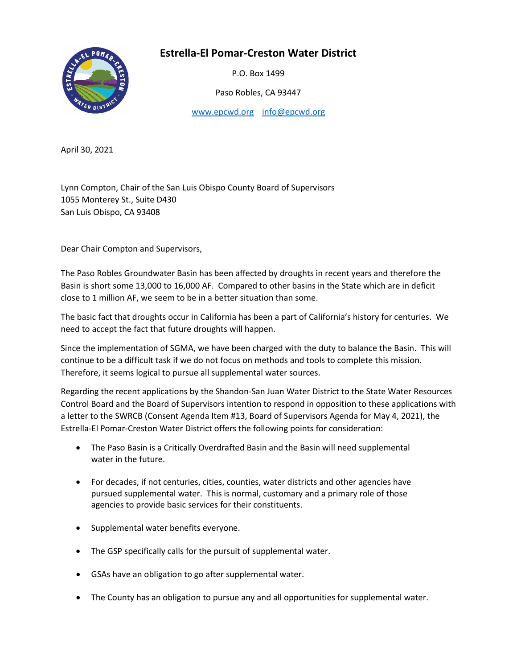## **Estrella-El Pomar-Creston Water District**



P.O. Box 1499

Paso Robles, CA 93447

[www.epcwd.org](http://www.epcwd.org/) [info@epcwd.org](mailto:info@epcwd.org)

April 30, 2021

Lynn Compton, Chair of the San Luis Obispo County Board of Supervisors 1055 Monterey St., Suite D430 San Luis Obispo, CA 93408

Dear Chair Compton and Supervisors,

The Paso Robles Groundwater Basin has been affected by droughts in recent years and therefore the Basin is short some 13,000 to 16,000 AF. Compared to other basins in the State which are in deficit close to 1 million AF, we seem to be in a better situation than some.

The basic fact that droughts occur in California has been a part of California's history for centuries. We need to accept the fact that future droughts will happen.

Since the implementation of SGMA, we have been charged with the duty to balance the Basin. This will continue to be a difficult task if we do not focus on methods and tools to complete this mission. Therefore, it seems logical to pursue all supplemental water sources.

Regarding the recent applications by the Shandon-San Juan Water District to the State Water Resources Control Board and the Board of Supervisors intention to respond in opposition to these applications with a letter to the SWRCB (Consent Agenda Item #13, Board of Supervisors Agenda for May 4, 2021), the Estrella-El Pomar-Creston Water District offers the following points for consideration:

- The Paso Basin is a Critically Overdrafted Basin and the Basin will need supplemental water in the future.
- For decades, if not centuries, cities, counties, water districts and other agencies have pursued supplemental water. This is normal, customary and a primary role of those agencies to provide basic services for their constituents.
- Supplemental water benefits everyone.
- The GSP specifically calls for the pursuit of supplemental water.
- GSAs have an obligation to go after supplemental water.
- The County has an obligation to pursue any and all opportunities for supplemental water.